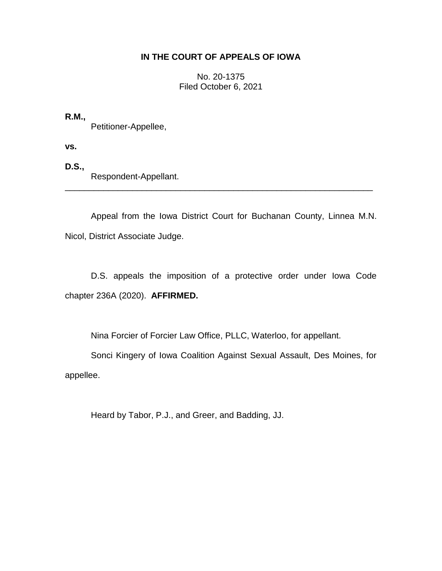## **IN THE COURT OF APPEALS OF IOWA**

No. 20-1375 Filed October 6, 2021

**R.M.,** Petitioner-Appellee,

**vs.**

**D.S.,** Respondent-Appellant.

Appeal from the Iowa District Court for Buchanan County, Linnea M.N. Nicol, District Associate Judge.

\_\_\_\_\_\_\_\_\_\_\_\_\_\_\_\_\_\_\_\_\_\_\_\_\_\_\_\_\_\_\_\_\_\_\_\_\_\_\_\_\_\_\_\_\_\_\_\_\_\_\_\_\_\_\_\_\_\_\_\_\_\_\_\_

D.S. appeals the imposition of a protective order under Iowa Code chapter 236A (2020). **AFFIRMED.**

Nina Forcier of Forcier Law Office, PLLC, Waterloo, for appellant.

Sonci Kingery of Iowa Coalition Against Sexual Assault, Des Moines, for appellee.

Heard by Tabor, P.J., and Greer, and Badding, JJ.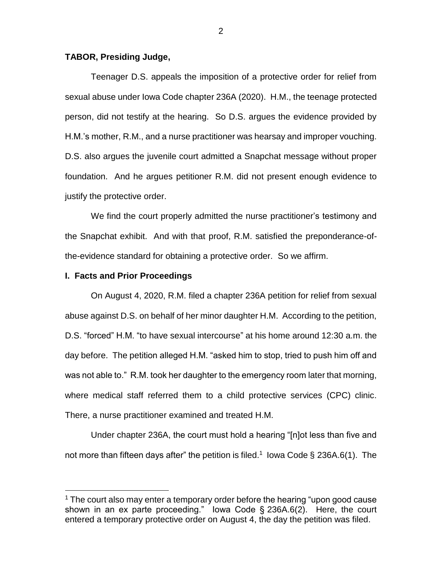## **TABOR, Presiding Judge,**

Teenager D.S. appeals the imposition of a protective order for relief from sexual abuse under Iowa Code chapter 236A (2020). H.M., the teenage protected person, did not testify at the hearing. So D.S. argues the evidence provided by H.M.'s mother, R.M., and a nurse practitioner was hearsay and improper vouching. D.S. also argues the juvenile court admitted a Snapchat message without proper foundation. And he argues petitioner R.M. did not present enough evidence to justify the protective order.

We find the court properly admitted the nurse practitioner's testimony and the Snapchat exhibit. And with that proof, R.M. satisfied the preponderance-ofthe-evidence standard for obtaining a protective order. So we affirm.

## **I. Facts and Prior Proceedings**

 $\overline{a}$ 

On August 4, 2020, R.M. filed a chapter 236A petition for relief from sexual abuse against D.S. on behalf of her minor daughter H.M. According to the petition, D.S. "forced" H.M. "to have sexual intercourse" at his home around 12:30 a.m. the day before. The petition alleged H.M. "asked him to stop, tried to push him off and was not able to." R.M. took her daughter to the emergency room later that morning, where medical staff referred them to a child protective services (CPC) clinic. There, a nurse practitioner examined and treated H.M.

Under chapter 236A, the court must hold a hearing "[n]ot less than five and not more than fifteen days after" the petition is filed.<sup>1</sup> lowa Code § 236A.6(1). The

2

 $1$  The court also may enter a temporary order before the hearing "upon good cause shown in an ex parte proceeding." Iowa Code § 236A.6(2). Here, the court entered a temporary protective order on August 4, the day the petition was filed.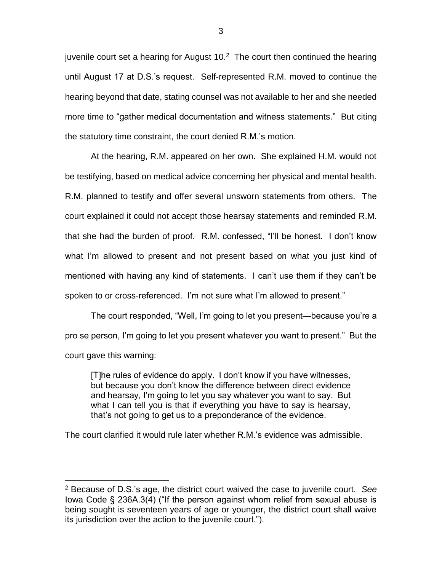juvenile court set a hearing for August  $10<sup>2</sup>$  The court then continued the hearing until August 17 at D.S.'s request. Self-represented R.M. moved to continue the hearing beyond that date, stating counsel was not available to her and she needed more time to "gather medical documentation and witness statements." But citing the statutory time constraint, the court denied R.M.'s motion.

At the hearing, R.M. appeared on her own. She explained H.M. would not be testifying, based on medical advice concerning her physical and mental health. R.M. planned to testify and offer several unsworn statements from others. The court explained it could not accept those hearsay statements and reminded R.M. that she had the burden of proof. R.M. confessed, "I'll be honest. I don't know what I'm allowed to present and not present based on what you just kind of mentioned with having any kind of statements. I can't use them if they can't be spoken to or cross-referenced. I'm not sure what I'm allowed to present."

The court responded, "Well, I'm going to let you present—because you're a pro se person, I'm going to let you present whatever you want to present." But the court gave this warning:

[T]he rules of evidence do apply. I don't know if you have witnesses, but because you don't know the difference between direct evidence and hearsay, I'm going to let you say whatever you want to say. But what I can tell you is that if everything you have to say is hearsay, that's not going to get us to a preponderance of the evidence.

The court clarified it would rule later whether R.M.'s evidence was admissible.

<sup>2</sup> Because of D.S.'s age, the district court waived the case to juvenile court. *See* Iowa Code § 236A.3(4) ("If the person against whom relief from sexual abuse is being sought is seventeen years of age or younger, the district court shall waive its jurisdiction over the action to the juvenile court.").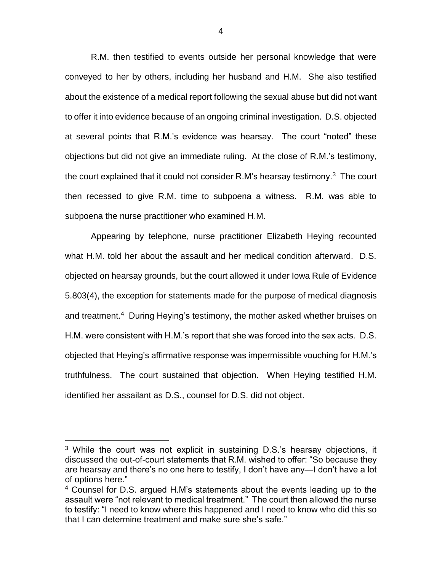R.M. then testified to events outside her personal knowledge that were conveyed to her by others, including her husband and H.M. She also testified about the existence of a medical report following the sexual abuse but did not want to offer it into evidence because of an ongoing criminal investigation. D.S. objected at several points that R.M.'s evidence was hearsay. The court "noted" these objections but did not give an immediate ruling. At the close of R.M.'s testimony, the court explained that it could not consider R.M's hearsay testimony. $3$  The court then recessed to give R.M. time to subpoena a witness. R.M. was able to subpoena the nurse practitioner who examined H.M.

Appearing by telephone, nurse practitioner Elizabeth Heying recounted what H.M. told her about the assault and her medical condition afterward. D.S. objected on hearsay grounds, but the court allowed it under Iowa Rule of Evidence 5.803(4), the exception for statements made for the purpose of medical diagnosis and treatment.<sup>4</sup> During Heying's testimony, the mother asked whether bruises on H.M. were consistent with H.M.'s report that she was forced into the sex acts. D.S. objected that Heying's affirmative response was impermissible vouching for H.M.'s truthfulness. The court sustained that objection. When Heying testified H.M. identified her assailant as D.S., counsel for D.S. did not object.

<sup>&</sup>lt;sup>3</sup> While the court was not explicit in sustaining D.S.'s hearsay objections, it discussed the out-of-court statements that R.M. wished to offer: "So because they are hearsay and there's no one here to testify, I don't have any—I don't have a lot of options here."

<sup>&</sup>lt;sup>4</sup> Counsel for D.S. argued H.M's statements about the events leading up to the assault were "not relevant to medical treatment." The court then allowed the nurse to testify: "I need to know where this happened and I need to know who did this so that I can determine treatment and make sure she's safe."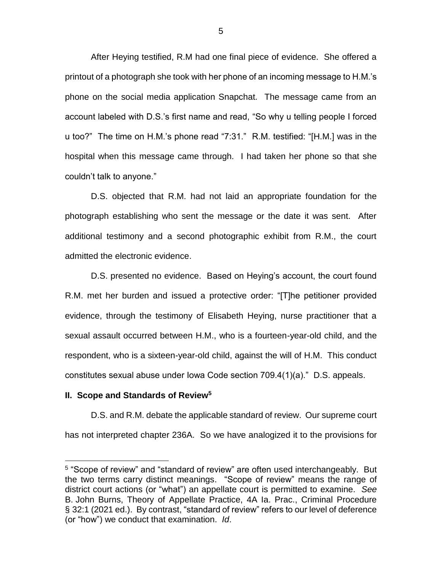After Heying testified, R.M had one final piece of evidence. She offered a printout of a photograph she took with her phone of an incoming message to H.M.'s phone on the social media application Snapchat. The message came from an account labeled with D.S.'s first name and read, "So why u telling people I forced u too?" The time on H.M.'s phone read "7:31." R.M. testified: "[H.M.] was in the hospital when this message came through. I had taken her phone so that she couldn't talk to anyone."

D.S. objected that R.M. had not laid an appropriate foundation for the photograph establishing who sent the message or the date it was sent. After additional testimony and a second photographic exhibit from R.M., the court admitted the electronic evidence.

D.S. presented no evidence. Based on Heying's account, the court found R.M. met her burden and issued a protective order: "[T]he petitioner provided evidence, through the testimony of Elisabeth Heying, nurse practitioner that a sexual assault occurred between H.M., who is a fourteen-year-old child, and the respondent, who is a sixteen-year-old child, against the will of H.M. This conduct constitutes sexual abuse under Iowa Code section 709.4(1)(a)." D.S. appeals.

## **II. Scope and Standards of Review<sup>5</sup>**

 $\overline{a}$ 

D.S. and R.M. debate the applicable standard of review. Our supreme court has not interpreted chapter 236A. So we have analogized it to the provisions for

<sup>&</sup>lt;sup>5</sup> "Scope of review" and "standard of review" are often used interchangeably. But the two terms carry distinct meanings. "Scope of review" means the range of district court actions (or "what") an appellate court is permitted to examine. *See*  B. John Burns, Theory of Appellate Practice, 4A Ia. Prac., Criminal Procedure § 32:1 (2021 ed.). By contrast, "standard of review" refers to our level of deference (or "how") we conduct that examination. *Id*.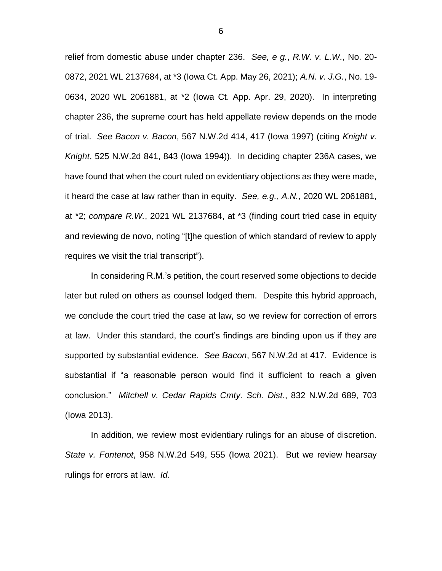relief from domestic abuse under chapter 236. *See, e g.*, *R.W. v. L.W.*, No. 20- 0872, 2021 WL 2137684, at \*3 (Iowa Ct. App. May 26, 2021); *A.N. v. J.G.*, No. 19- 0634, 2020 WL 2061881, at \*2 (Iowa Ct. App. Apr. 29, 2020). In interpreting chapter 236, the supreme court has held appellate review depends on the mode of trial. *See Bacon v. Bacon*, 567 N.W.2d 414, 417 (Iowa 1997) (citing *Knight v. Knight*, 525 N.W.2d 841, 843 (Iowa 1994)). In deciding chapter 236A cases, we have found that when the court ruled on evidentiary objections as they were made, it heard the case at law rather than in equity. *See, e.g.*, *A.N.*, 2020 WL 2061881, at \*2; *compare R.W.*, 2021 WL 2137684, at \*3 (finding court tried case in equity and reviewing de novo, noting "[t]he question of which standard of review to apply requires we visit the trial transcript").

In considering R.M.'s petition, the court reserved some objections to decide later but ruled on others as counsel lodged them. Despite this hybrid approach, we conclude the court tried the case at law, so we review for correction of errors at law. Under this standard, the court's findings are binding upon us if they are supported by substantial evidence. *See Bacon*, 567 N.W.2d at 417. Evidence is substantial if "a reasonable person would find it sufficient to reach a given conclusion." *Mitchell v. Cedar Rapids Cmty. Sch. Dist.*, 832 N.W.2d 689, 703 (Iowa 2013).

In addition, we review most evidentiary rulings for an abuse of discretion. *State v. Fontenot*, 958 N.W.2d 549, 555 (Iowa 2021). But we review hearsay rulings for errors at law. *Id*.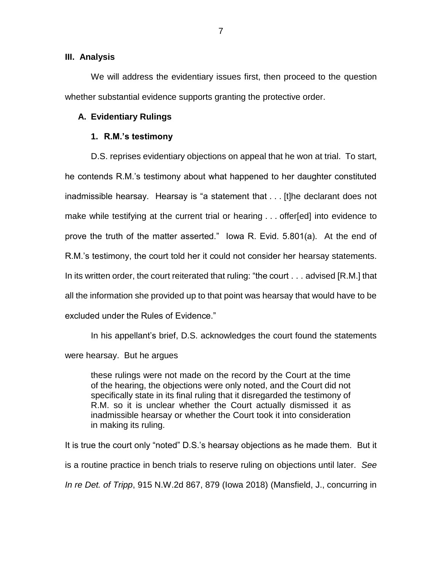## **III. Analysis**

We will address the evidentiary issues first, then proceed to the question whether substantial evidence supports granting the protective order.

## **A. Evidentiary Rulings**

## **1. R.M.'s testimony**

D.S. reprises evidentiary objections on appeal that he won at trial. To start, he contends R.M.'s testimony about what happened to her daughter constituted inadmissible hearsay. Hearsay is "a statement that . . . [t]he declarant does not make while testifying at the current trial or hearing . . . offer[ed] into evidence to prove the truth of the matter asserted." Iowa R. Evid. 5.801(a). At the end of R.M.'s testimony, the court told her it could not consider her hearsay statements. In its written order, the court reiterated that ruling: "the court . . . advised [R.M.] that all the information she provided up to that point was hearsay that would have to be excluded under the Rules of Evidence."

In his appellant's brief, D.S. acknowledges the court found the statements were hearsay. But he argues

these rulings were not made on the record by the Court at the time of the hearing, the objections were only noted, and the Court did not specifically state in its final ruling that it disregarded the testimony of R.M. so it is unclear whether the Court actually dismissed it as inadmissible hearsay or whether the Court took it into consideration in making its ruling.

It is true the court only "noted" D.S.'s hearsay objections as he made them. But it is a routine practice in bench trials to reserve ruling on objections until later. *See In re Det. of Tripp*, 915 N.W.2d 867, 879 (Iowa 2018) (Mansfield, J., concurring in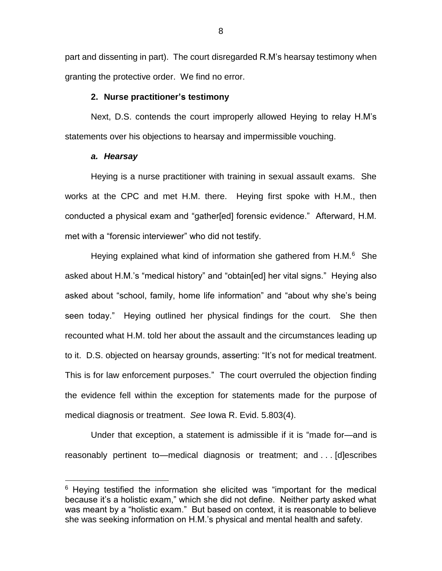part and dissenting in part). The court disregarded R.M's hearsay testimony when granting the protective order. We find no error.

#### **2. Nurse practitioner's testimony**

Next, D.S. contends the court improperly allowed Heying to relay H.M's statements over his objections to hearsay and impermissible vouching.

## *a. Hearsay*

 $\overline{a}$ 

Heying is a nurse practitioner with training in sexual assault exams. She works at the CPC and met H.M. there. Heying first spoke with H.M., then conducted a physical exam and "gather[ed] forensic evidence." Afterward, H.M. met with a "forensic interviewer" who did not testify.

Heying explained what kind of information she gathered from H.M.<sup>6</sup> She asked about H.M.'s "medical history" and "obtain[ed] her vital signs." Heying also asked about "school, family, home life information" and "about why she's being seen today." Heying outlined her physical findings for the court. She then recounted what H.M. told her about the assault and the circumstances leading up to it. D.S. objected on hearsay grounds, asserting: "It's not for medical treatment. This is for law enforcement purposes." The court overruled the objection finding the evidence fell within the exception for statements made for the purpose of medical diagnosis or treatment. *See* Iowa R. Evid. 5.803(4).

Under that exception, a statement is admissible if it is "made for—and is reasonably pertinent to—medical diagnosis or treatment; and . . . [d]escribes

 $6$  Heying testified the information she elicited was "important for the medical because it's a holistic exam," which she did not define. Neither party asked what was meant by a "holistic exam." But based on context, it is reasonable to believe she was seeking information on H.M.'s physical and mental health and safety.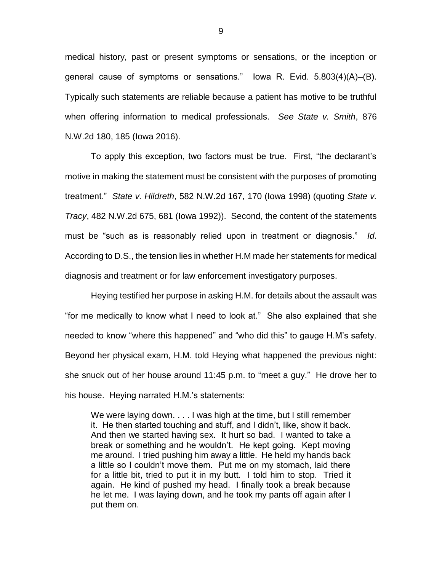medical history, past or present symptoms or sensations, or the inception or general cause of symptoms or sensations." Iowa R. Evid. 5.803(4)(A)–(B). Typically such statements are reliable because a patient has motive to be truthful when offering information to medical professionals. *See State v. Smith*, 876 N.W.2d 180, 185 (Iowa 2016).

To apply this exception, two factors must be true. First, "the declarant's motive in making the statement must be consistent with the purposes of promoting treatment." *State v. Hildreth*, 582 N.W.2d 167, 170 (Iowa 1998) (quoting *State v. Tracy*, 482 N.W.2d 675, 681 (Iowa 1992)). Second, the content of the statements must be "such as is reasonably relied upon in treatment or diagnosis." *Id*. According to D.S., the tension lies in whether H.M made her statements for medical diagnosis and treatment or for law enforcement investigatory purposes.

Heying testified her purpose in asking H.M. for details about the assault was "for me medically to know what I need to look at." She also explained that she needed to know "where this happened" and "who did this" to gauge H.M's safety. Beyond her physical exam, H.M. told Heying what happened the previous night: she snuck out of her house around 11:45 p.m. to "meet a guy." He drove her to his house. Heying narrated H.M.'s statements:

We were laying down. . . . I was high at the time, but I still remember it. He then started touching and stuff, and I didn't, like, show it back. And then we started having sex. It hurt so bad. I wanted to take a break or something and he wouldn't. He kept going. Kept moving me around. I tried pushing him away a little. He held my hands back a little so I couldn't move them. Put me on my stomach, laid there for a little bit, tried to put it in my butt. I told him to stop. Tried it again. He kind of pushed my head. I finally took a break because he let me. I was laying down, and he took my pants off again after I put them on.

9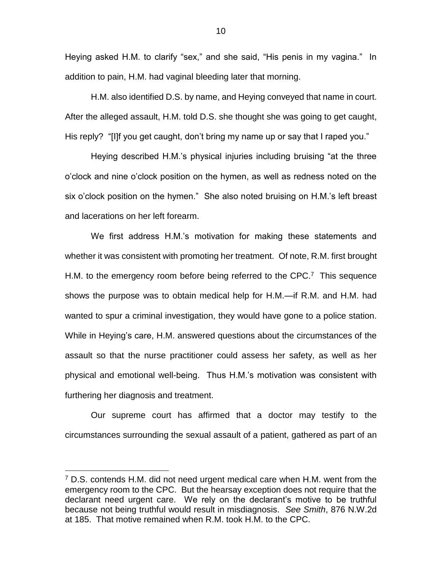Heying asked H.M. to clarify "sex," and she said, "His penis in my vagina." In addition to pain, H.M. had vaginal bleeding later that morning.

H.M. also identified D.S. by name, and Heying conveyed that name in court. After the alleged assault, H.M. told D.S. she thought she was going to get caught, His reply? "[I]f you get caught, don't bring my name up or say that I raped you."

Heying described H.M.'s physical injuries including bruising "at the three o'clock and nine o'clock position on the hymen, as well as redness noted on the six o'clock position on the hymen." She also noted bruising on H.M.'s left breast and lacerations on her left forearm.

We first address H.M.'s motivation for making these statements and whether it was consistent with promoting her treatment. Of note, R.M. first brought H.M. to the emergency room before being referred to the CPC.<sup>7</sup> This sequence shows the purpose was to obtain medical help for H.M.—if R.M. and H.M. had wanted to spur a criminal investigation, they would have gone to a police station. While in Heying's care, H.M. answered questions about the circumstances of the assault so that the nurse practitioner could assess her safety, as well as her physical and emotional well-being. Thus H.M.'s motivation was consistent with furthering her diagnosis and treatment.

Our supreme court has affirmed that a doctor may testify to the circumstances surrounding the sexual assault of a patient, gathered as part of an

 $7$  D.S. contends H.M. did not need urgent medical care when H.M. went from the emergency room to the CPC. But the hearsay exception does not require that the declarant need urgent care. We rely on the declarant's motive to be truthful because not being truthful would result in misdiagnosis. *See Smith*, 876 N.W.2d at 185. That motive remained when R.M. took H.M. to the CPC.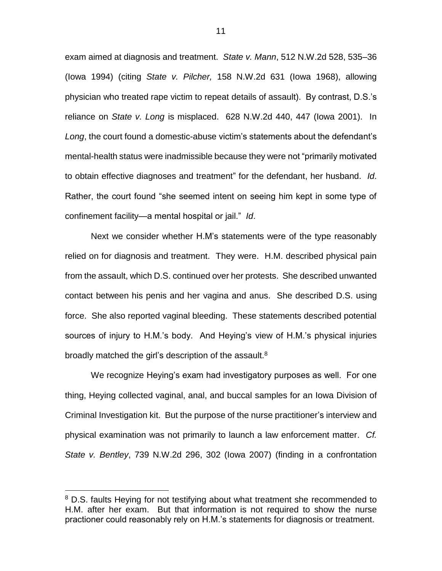exam aimed at diagnosis and treatment. *State v. Mann*, 512 N.W.2d 528, 535–36 (Iowa 1994) (citing *State v. Pilcher,* 158 N.W.2d 631 (Iowa 1968), allowing physician who treated rape victim to repeat details of assault). By contrast, D.S.'s reliance on *State v. Long* is misplaced. 628 N.W.2d 440, 447 (Iowa 2001). In *Long*, the court found a domestic-abuse victim's statements about the defendant's mental-health status were inadmissible because they were not "primarily motivated to obtain effective diagnoses and treatment" for the defendant, her husband. *Id*. Rather, the court found "she seemed intent on seeing him kept in some type of confinement facility—a mental hospital or jail." *Id*.

Next we consider whether H.M's statements were of the type reasonably relied on for diagnosis and treatment. They were. H.M. described physical pain from the assault, which D.S. continued over her protests. She described unwanted contact between his penis and her vagina and anus. She described D.S. using force. She also reported vaginal bleeding. These statements described potential sources of injury to H.M.'s body. And Heying's view of H.M.'s physical injuries broadly matched the girl's description of the assault.<sup>8</sup>

We recognize Heying's exam had investigatory purposes as well. For one thing, Heying collected vaginal, anal, and buccal samples for an Iowa Division of Criminal Investigation kit. But the purpose of the nurse practitioner's interview and physical examination was not primarily to launch a law enforcement matter. *Cf. State v. Bentley*, 739 N.W.2d 296, 302 (Iowa 2007) (finding in a confrontation

<sup>&</sup>lt;sup>8</sup> D.S. faults Heying for not testifying about what treatment she recommended to H.M. after her exam. But that information is not required to show the nurse practioner could reasonably rely on H.M.'s statements for diagnosis or treatment.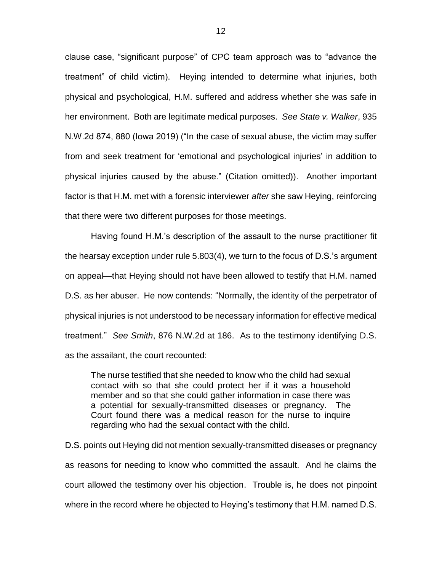clause case, "significant purpose" of CPC team approach was to "advance the treatment" of child victim). Heying intended to determine what injuries, both physical and psychological, H.M. suffered and address whether she was safe in her environment. Both are legitimate medical purposes. *See State v. Walker*, 935 N.W.2d 874, 880 (Iowa 2019) ("In the case of sexual abuse, the victim may suffer from and seek treatment for 'emotional and psychological injuries' in addition to physical injuries caused by the abuse." (Citation omitted)). Another important factor is that H.M. met with a forensic interviewer *after* she saw Heying, reinforcing that there were two different purposes for those meetings.

Having found H.M.'s description of the assault to the nurse practitioner fit the hearsay exception under rule 5.803(4), we turn to the focus of D.S.'s argument on appeal—that Heying should not have been allowed to testify that H.M. named D.S. as her abuser. He now contends: "Normally, the identity of the perpetrator of physical injuries is not understood to be necessary information for effective medical treatment." *See Smith*, 876 N.W.2d at 186. As to the testimony identifying D.S. as the assailant, the court recounted:

The nurse testified that she needed to know who the child had sexual contact with so that she could protect her if it was a household member and so that she could gather information in case there was a potential for sexually-transmitted diseases or pregnancy. The Court found there was a medical reason for the nurse to inquire regarding who had the sexual contact with the child.

D.S. points out Heying did not mention sexually-transmitted diseases or pregnancy as reasons for needing to know who committed the assault. And he claims the court allowed the testimony over his objection. Trouble is, he does not pinpoint where in the record where he objected to Heying's testimony that H.M. named D.S.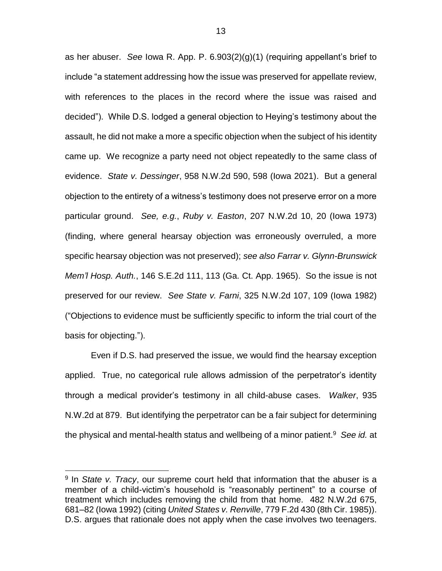as her abuser. *See* Iowa R. App. P. 6.903(2)(g)(1) (requiring appellant's brief to include "a statement addressing how the issue was preserved for appellate review, with references to the places in the record where the issue was raised and decided"). While D.S. lodged a general objection to Heying's testimony about the assault, he did not make a more a specific objection when the subject of his identity came up. We recognize a party need not object repeatedly to the same class of evidence. *State v. Dessinger*, 958 N.W.2d 590, 598 (Iowa 2021). But a general objection to the entirety of a witness's testimony does not preserve error on a more particular ground. *See, e.g.*, *Ruby v. Easton*, 207 N.W.2d 10, 20 (Iowa 1973) (finding, where general hearsay objection was erroneously overruled, a more specific hearsay objection was not preserved); *see also Farrar v. Glynn-Brunswick Mem'l Hosp. Auth.*, 146 S.E.2d 111, 113 (Ga. Ct. App. 1965). So the issue is not preserved for our review. *See State v. Farni*, 325 N.W.2d 107, 109 (Iowa 1982) ("Objections to evidence must be sufficiently specific to inform the trial court of the basis for objecting.").

Even if D.S. had preserved the issue, we would find the hearsay exception applied. True, no categorical rule allows admission of the perpetrator's identity through a medical provider's testimony in all child-abuse cases. *Walker*, 935 N.W.2d at 879. But identifying the perpetrator can be a fair subject for determining the physical and mental-health status and wellbeing of a minor patient. 9 *See id.* at

<sup>9</sup> In *State v. Tracy*, our supreme court held that information that the abuser is a member of a child-victim's household is "reasonably pertinent" to a course of treatment which includes removing the child from that home. 482 N.W.2d 675, 681–82 (Iowa 1992) (citing *United States v. Renville*, 779 F.2d 430 (8th Cir. 1985)). D.S. argues that rationale does not apply when the case involves two teenagers.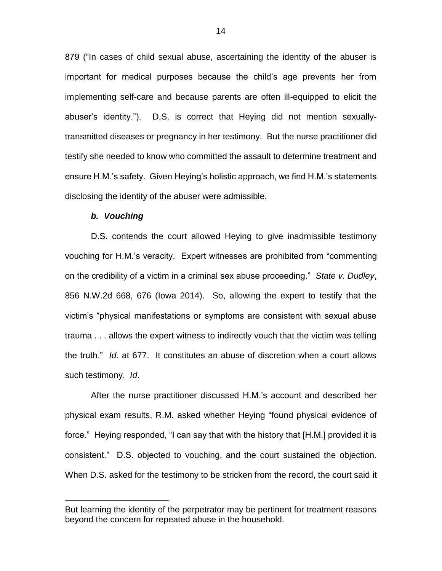879 ("In cases of child sexual abuse, ascertaining the identity of the abuser is important for medical purposes because the child's age prevents her from implementing self-care and because parents are often ill-equipped to elicit the abuser's identity."). D.S. is correct that Heying did not mention sexuallytransmitted diseases or pregnancy in her testimony. But the nurse practitioner did testify she needed to know who committed the assault to determine treatment and ensure H.M.'s safety. Given Heying's holistic approach, we find H.M.'s statements disclosing the identity of the abuser were admissible.

#### *b. Vouching*

 $\overline{a}$ 

D.S. contends the court allowed Heying to give inadmissible testimony vouching for H.M.'s veracity. Expert witnesses are prohibited from "commenting on the credibility of a victim in a criminal sex abuse proceeding." *State v. Dudley*, 856 N.W.2d 668, 676 (Iowa 2014). So, allowing the expert to testify that the victim's "physical manifestations or symptoms are consistent with sexual abuse trauma . . . allows the expert witness to indirectly vouch that the victim was telling the truth." *Id*. at 677. It constitutes an abuse of discretion when a court allows such testimony. *Id*.

After the nurse practitioner discussed H.M.'s account and described her physical exam results, R.M. asked whether Heying "found physical evidence of force." Heying responded, "I can say that with the history that [H.M.] provided it is consistent." D.S. objected to vouching, and the court sustained the objection. When D.S. asked for the testimony to be stricken from the record, the court said it

But learning the identity of the perpetrator may be pertinent for treatment reasons beyond the concern for repeated abuse in the household.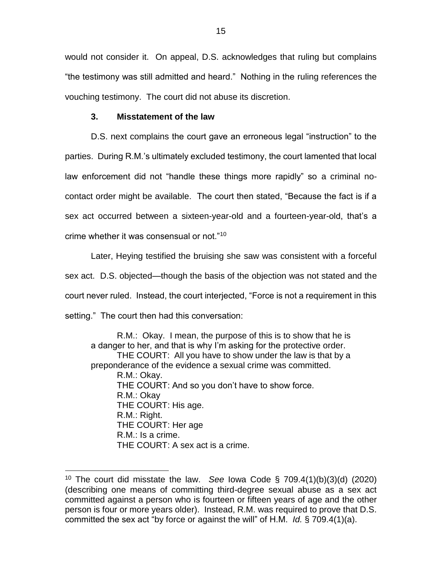would not consider it. On appeal, D.S. acknowledges that ruling but complains "the testimony was still admitted and heard." Nothing in the ruling references the vouching testimony. The court did not abuse its discretion.

## **3. Misstatement of the law**

 $\overline{a}$ 

D.S. next complains the court gave an erroneous legal "instruction" to the parties. During R.M.'s ultimately excluded testimony, the court lamented that local law enforcement did not "handle these things more rapidly" so a criminal nocontact order might be available. The court then stated, "Because the fact is if a sex act occurred between a sixteen-year-old and a fourteen-year-old, that's a crime whether it was consensual or not."<sup>10</sup>

Later, Heying testified the bruising she saw was consistent with a forceful sex act. D.S. objected—though the basis of the objection was not stated and the court never ruled. Instead, the court interjected, "Force is not a requirement in this setting." The court then had this conversation:

R.M.: Okay. I mean, the purpose of this is to show that he is a danger to her, and that is why I'm asking for the protective order. THE COURT: All you have to show under the law is that by a preponderance of the evidence a sexual crime was committed. R.M.: Okay. THE COURT: And so you don't have to show force. R.M.: Okay THE COURT: His age. R.M.: Right. THE COURT: Her age R.M.: Is a crime. THE COURT: A sex act is a crime.

<sup>10</sup> The court did misstate the law. *See* Iowa Code § 709.4(1)(b)(3)(d) (2020) (describing one means of committing third-degree sexual abuse as a sex act committed against a person who is fourteen or fifteen years of age and the other person is four or more years older). Instead, R.M. was required to prove that D.S. committed the sex act "by force or against the will" of H.M. *Id.* § 709.4(1)(a).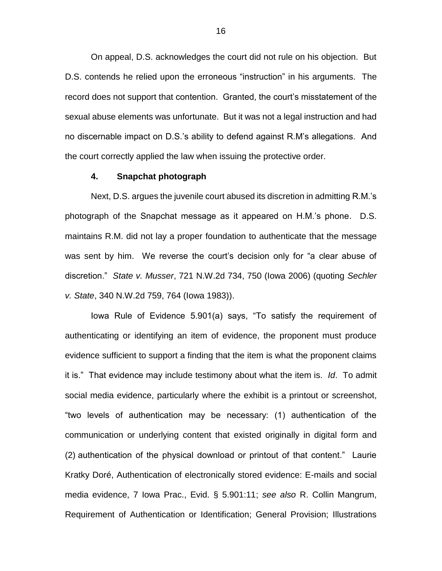On appeal, D.S. acknowledges the court did not rule on his objection. But D.S. contends he relied upon the erroneous "instruction" in his arguments. The record does not support that contention. Granted, the court's misstatement of the sexual abuse elements was unfortunate. But it was not a legal instruction and had no discernable impact on D.S.'s ability to defend against R.M's allegations. And the court correctly applied the law when issuing the protective order.

## **4. Snapchat photograph**

Next, D.S. argues the juvenile court abused its discretion in admitting R.M.'s photograph of the Snapchat message as it appeared on H.M.'s phone. D.S. maintains R.M. did not lay a proper foundation to authenticate that the message was sent by him. We reverse the court's decision only for "a clear abuse of discretion." *State v. Musser*, 721 N.W.2d 734, 750 (Iowa 2006) (quoting *Sechler v. State*, 340 N.W.2d 759, 764 (Iowa 1983)).

Iowa Rule of Evidence 5.901(a) says, "To satisfy the requirement of authenticating or identifying an item of evidence, the proponent must produce evidence sufficient to support a finding that the item is what the proponent claims it is." That evidence may include testimony about what the item is. *Id*. To admit social media evidence, particularly where the exhibit is a printout or screenshot, "two levels of authentication may be necessary: (1) authentication of the communication or underlying content that existed originally in digital form and (2) authentication of the physical download or printout of that content." Laurie Kratky Doré, Authentication of electronically stored evidence: E-mails and social media evidence, 7 Iowa Prac., Evid. § 5.901:11; *see also* R. Collin Mangrum, Requirement of Authentication or Identification; General Provision; Illustrations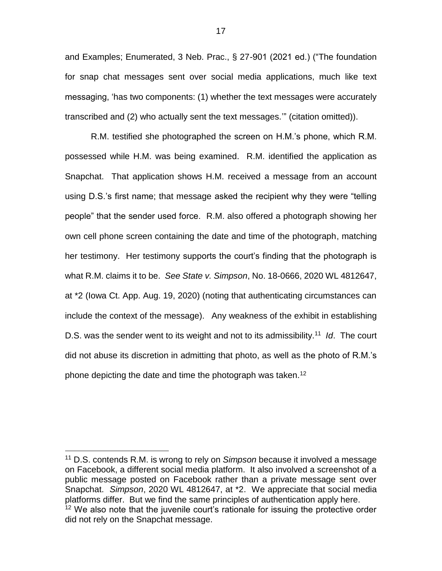and Examples; Enumerated, 3 Neb. Prac., § 27-901 (2021 ed.) ("The foundation for snap chat messages sent over social media applications, much like text messaging, 'has two components: (1) whether the text messages were accurately transcribed and (2) who actually sent the text messages.'" (citation omitted)).

R.M. testified she photographed the screen on H.M.'s phone, which R.M. possessed while H.M. was being examined. R.M. identified the application as Snapchat. That application shows H.M. received a message from an account using D.S.'s first name; that message asked the recipient why they were "telling people" that the sender used force. R.M. also offered a photograph showing her own cell phone screen containing the date and time of the photograph, matching her testimony. Her testimony supports the court's finding that the photograph is what R.M. claims it to be. *See State v. Simpson*, No. 18-0666, 2020 WL 4812647, at \*2 (Iowa Ct. App. Aug. 19, 2020) (noting that authenticating circumstances can include the context of the message). Any weakness of the exhibit in establishing D.S. was the sender went to its weight and not to its admissibility.<sup>11</sup> *Id*. The court did not abuse its discretion in admitting that photo, as well as the photo of R.M.'s phone depicting the date and time the photograph was taken.<sup>12</sup>

<sup>11</sup> D.S. contends R.M. is wrong to rely on *Simpson* because it involved a message on Facebook, a different social media platform. It also involved a screenshot of a public message posted on Facebook rather than a private message sent over Snapchat. *Simpson*, 2020 WL 4812647, at \*2. We appreciate that social media platforms differ. But we find the same principles of authentication apply here.  $12$  We also note that the juvenile court's rationale for issuing the protective order did not rely on the Snapchat message.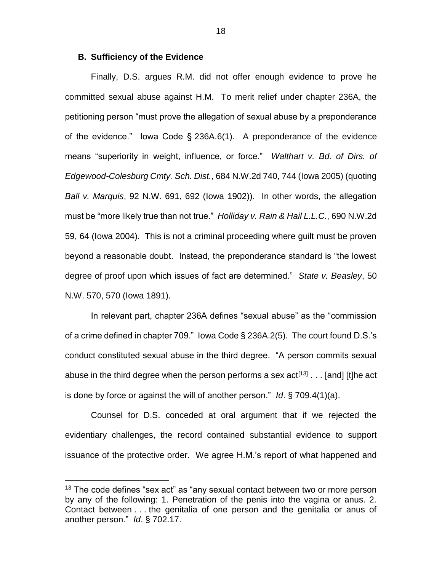#### **B. Sufficiency of the Evidence**

 $\overline{a}$ 

Finally, D.S. argues R.M. did not offer enough evidence to prove he committed sexual abuse against H.M. To merit relief under chapter 236A, the petitioning person "must prove the allegation of sexual abuse by a preponderance of the evidence." Iowa Code § 236A.6(1). A preponderance of the evidence means "superiority in weight, influence, or force." *Walthart v. Bd. of Dirs. of Edgewood-Colesburg Cmty. Sch. Dist.*, 684 N.W.2d 740, 744 (Iowa 2005) (quoting *Ball v. Marquis*, 92 N.W. 691, 692 (Iowa 1902)). In other words, the allegation must be "more likely true than not true." *Holliday v. Rain & Hail L.L.C.*, 690 N.W.2d 59, 64 (Iowa 2004). This is not a criminal proceeding where guilt must be proven beyond a reasonable doubt. Instead, the preponderance standard is "the lowest degree of proof upon which issues of fact are determined." *State v. Beasley*, 50 N.W. 570, 570 (Iowa 1891).

In relevant part, chapter 236A defines "sexual abuse" as the "commission of a crime defined in chapter 709." Iowa Code § 236A.2(5). The court found D.S.'s conduct constituted sexual abuse in the third degree. "A person commits sexual abuse in the third degree when the person performs a sex  $act^{[13]} \dots$  [and] [t]he act is done by force or against the will of another person." *Id*. § 709.4(1)(a).

Counsel for D.S. conceded at oral argument that if we rejected the evidentiary challenges, the record contained substantial evidence to support issuance of the protective order. We agree H.M.'s report of what happened and

 $13$  The code defines "sex act" as "any sexual contact between two or more person by any of the following: 1. Penetration of the penis into the vagina or anus. 2. Contact between . . . the genitalia of one person and the genitalia or anus of another person." *Id*. § 702.17.